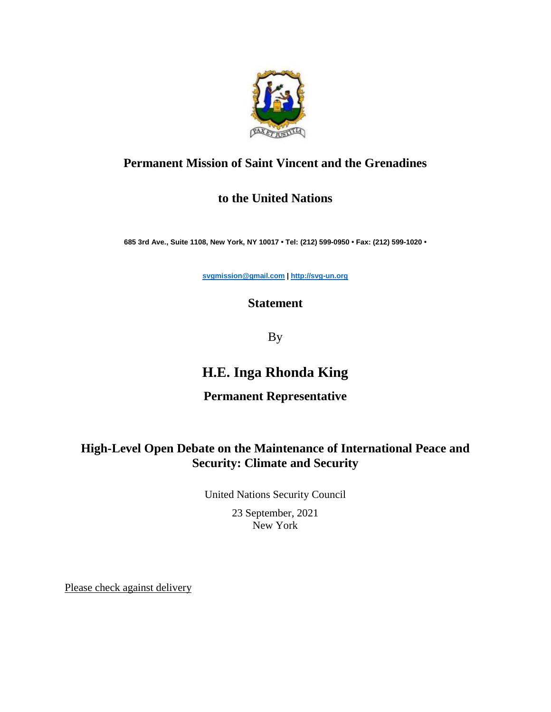

## **Permanent Mission of Saint Vincent and the Grenadines**

## **to the United Nations**

**685 3rd Ave., Suite 1108, New York, NY 10017 • Tel: (212) 599-0950 • Fax: (212) 599-1020 •**

**[svgmission@gmail.com](mailto:svgmission@gmail.com) | [http://svg-un.org](http://svg-un.org/)**

## **Statement**

By

# **H.E. Inga Rhonda King**

#### **Permanent Representative**

## **High-Level Open Debate on the Maintenance of International Peace and Security: Climate and Security**

United Nations Security Council

23 September, 2021 New York

Please check against delivery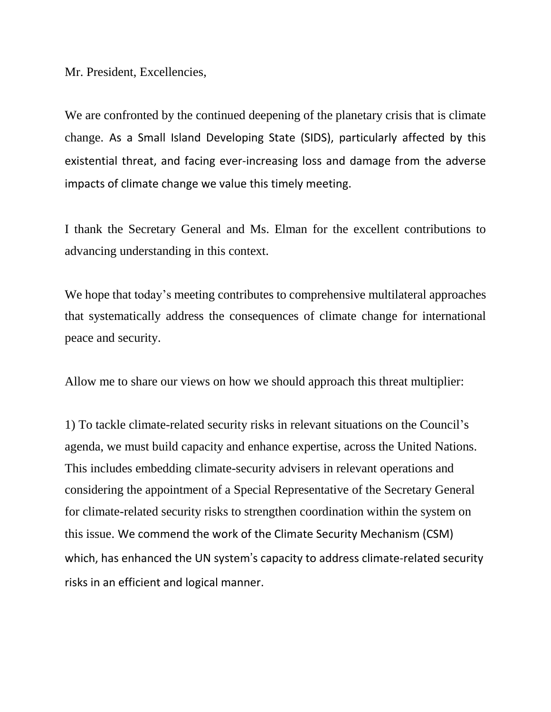Mr. President, Excellencies,

We are confronted by the continued deepening of the planetary crisis that is climate change. As a Small Island Developing State (SIDS), particularly affected by this existential threat, and facing ever-increasing loss and damage from the adverse impacts of climate change we value this timely meeting.

I thank the Secretary General and Ms. Elman for the excellent contributions to advancing understanding in this context.

We hope that today's meeting contributes to comprehensive multilateral approaches that systematically address the consequences of climate change for international peace and security.

Allow me to share our views on how we should approach this threat multiplier:

1) To tackle climate-related security risks in relevant situations on the Council's agenda, we must build capacity and enhance expertise, across the United Nations. This includes embedding climate-security advisers in relevant operations and considering the appointment of a Special Representative of the Secretary General for climate-related security risks to strengthen coordination within the system on this issue. We commend the work of the Climate Security Mechanism (CSM) which, has enhanced the UN system's capacity to address climate-related security risks in an efficient and logical manner.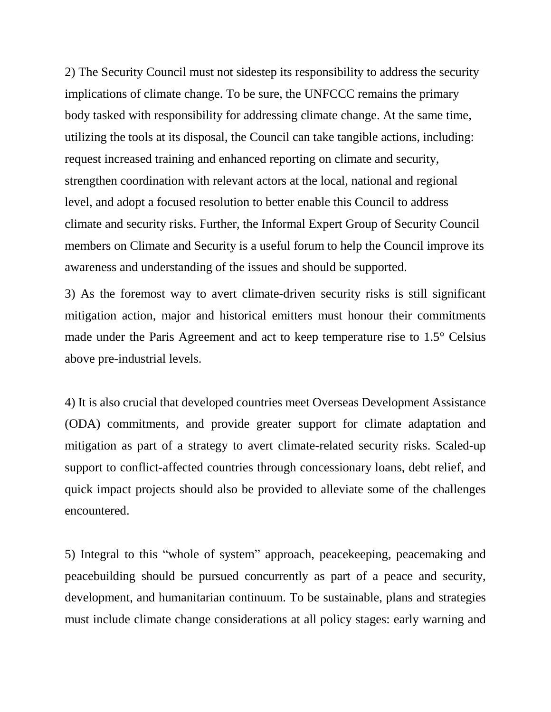2) The Security Council must not sidestep its responsibility to address the security implications of climate change. To be sure, the UNFCCC remains the primary body tasked with responsibility for addressing climate change. At the same time, utilizing the tools at its disposal, the Council can take tangible actions, including: request increased training and enhanced reporting on climate and security, strengthen coordination with relevant actors at the local, national and regional level, and adopt a focused resolution to better enable this Council to address climate and security risks. Further, the Informal Expert Group of Security Council members on Climate and Security is a useful forum to help the Council improve its awareness and understanding of the issues and should be supported.

3) As the foremost way to avert climate-driven security risks is still significant mitigation action, major and historical emitters must honour their commitments made under the Paris Agreement and act to keep temperature rise to 1.5° Celsius above pre-industrial levels.

4) It is also crucial that developed countries meet Overseas Development Assistance (ODA) commitments, and provide greater support for climate adaptation and mitigation as part of a strategy to avert climate-related security risks. Scaled-up support to conflict-affected countries through concessionary loans, debt relief, and quick impact projects should also be provided to alleviate some of the challenges encountered.

5) Integral to this "whole of system" approach, peacekeeping, peacemaking and peacebuilding should be pursued concurrently as part of a peace and security, development, and humanitarian continuum. To be sustainable, plans and strategies must include climate change considerations at all policy stages: early warning and